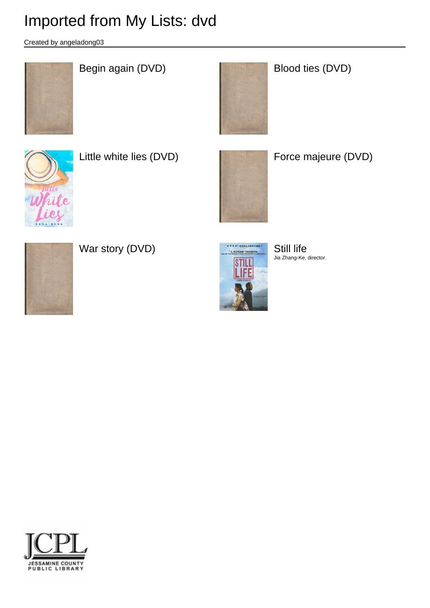Created by angeladong03



# Begin again (DVD) Blood ties (DVD)





Little white lies (DVD) **Force majeure (DVD)** 





War story (DVD) Still life



Jia Zhang-Ke, director.

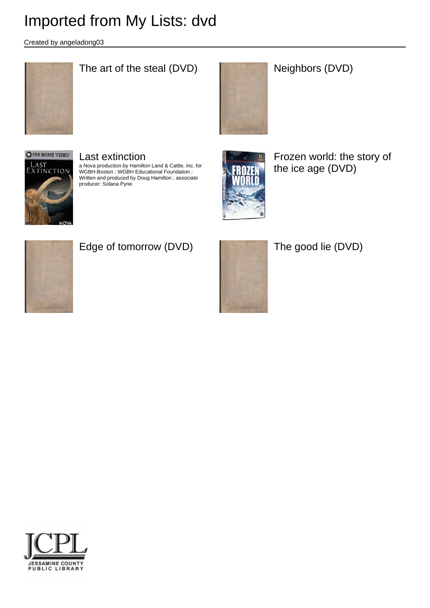Created by angeladong03



## The art of the steal (DVD) Neighbors (DVD)





#### Last extinction a Nova production by Hamilton Land & Cattle, Inc. for

WGBH-Boston ; WGBH Educational Foundation ; Written and produced by Doug Hamilton ; associate producer: Solana Pyne.



Frozen world: the story of the ice age (DVD)



## Edge of tomorrow (DVD) The good lie (DVD)



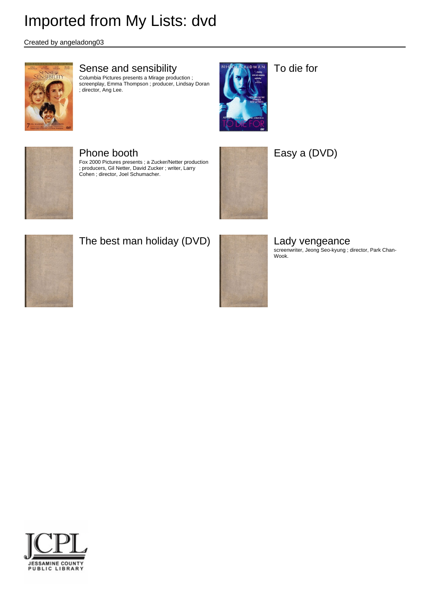Created by angeladong03



#### Sense and sensibility

Columbia Pictures presents a Mirage production ; screenplay, Emma Thompson ; producer, Lindsay Doran ; director, Ang Lee.



To die for



#### Phone booth

Fox 2000 Pictures presents ; a Zucker/Netter production ; producers, Gil Netter, David Zucker ; writer, Larry Cohen ; director, Joel Schumacher.



### Easy a (DVD)



### The best man holiday (DVD) Lady vengeance



screenwriter, Jeong Seo-kyung ; director, Park Chan- Wook.

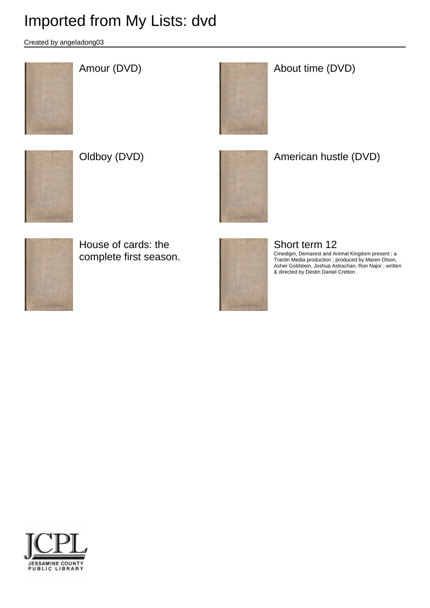Created by angeladong03





## Amour (DVD) and the CDVD) and the CDVD About time (DVD)









House of cards: the complete first season.



### Short term 12

Cinedigm, Demarest and Animal Kingdom present ; a Tractin Media production ; produced by Maren Olson, Asher Goldstein, Joshua Astrachan, Ron Najor ; written & directed by Destin Daniel Cretton.

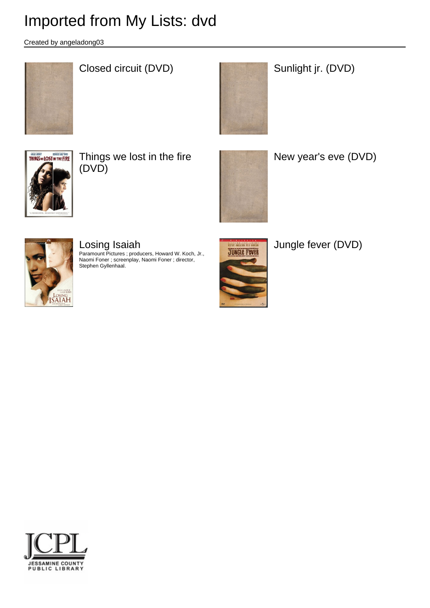Created by angeladong03



## Closed circuit (DVD) **Sunlight jr.** (DVD)





Things we lost in the fire (DVD)



New year's eve (DVD)



# Losing Isaiah

Paramount Pictures ; producers, Howard W. Koch, Jr., Naomi Foner ; screenplay, Naomi Foner ; director, Stephen Gyllenhaal.



Jungle fever (DVD)

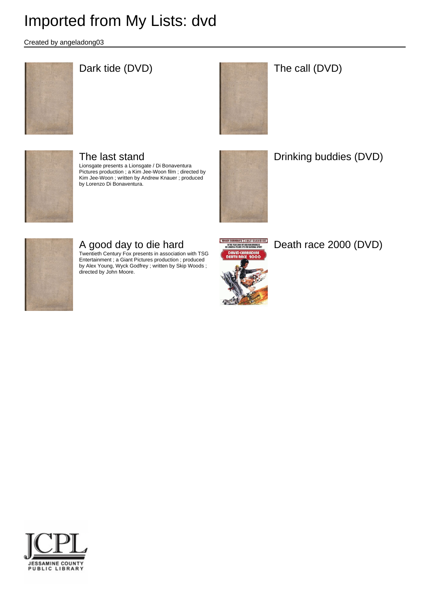Created by angeladong03



## Dark tide (DVD) and the call (DVD) and the call (DVD)





## The last stand

Lionsgate presents a Lionsgate / Di Bonaventura Pictures production ; a Kim Jee-Woon film ; directed by Kim Jee-Woon ; written by Andrew Knauer ; produced by Lorenzo Di Bonaventura.



Drinking buddies (DVD)



## A good day to die hard

Twentieth Century Fox presents in association with TSG Entertainment ; a Giant Pictures production ; produced by Alex Young, Wyck Godfrey ; written by Skip Woods ; directed by John Moore.



Death race 2000 (DVD)

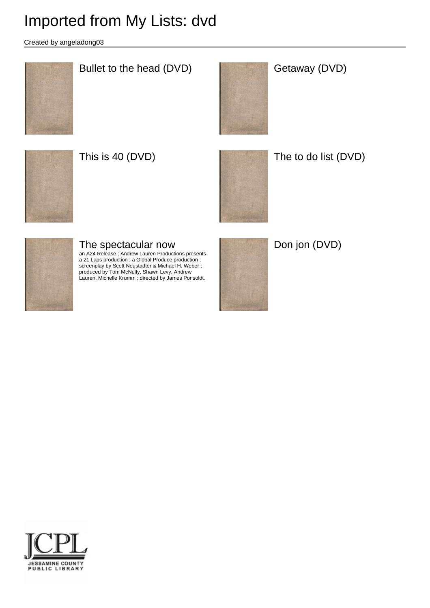Created by angeladong03



## Bullet to the head (DVD) **Getaway (DVD)**







This is 40 (DVD) The to do list (DVD)



### The spectacular now

an A24 Release ; Andrew Lauren Productions presents a 21 Laps production ; a Global Produce production ; screenplay by Scott Neustadter & Michael H. Weber ; produced by Tom McNulty, Shawn Levy, Andrew Lauren, Michelle Krumm ; directed by James Ponsoldt.



Don jon (DVD)

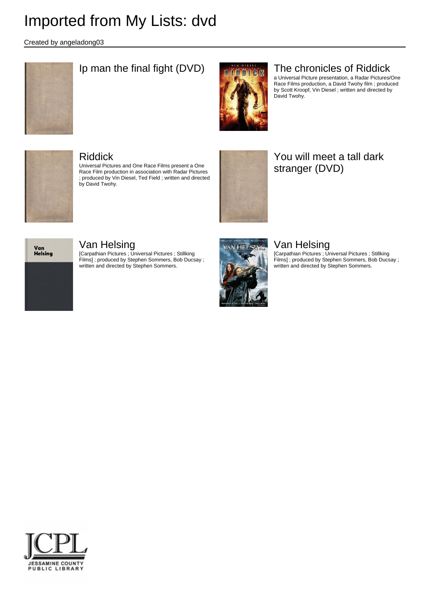Created by angeladong03



## Ip man the final fight (DVD)  $\frac{1}{\sqrt{2\pi}}\frac{1}{\sqrt{2\pi}}\frac{1}{\sqrt{2\pi}}$  The chronicles of Riddick



a Universal Picture presentation, a Radar Pictures/One Race Films production, a David Twohy film ; produced by Scott Kroopf, Vin Diesel ; written and directed by David Twohy.



#### Riddick

Universal Pictures and One Race Films present a One Race Film production in association with Radar Pictures ; produced by Vin Diesel, Ted Field ; written and directed by David Twohy.



### You will meet a tall dark stranger (DVD)



#### Van Helsing

[Carpathian Pictures ; Universal Pictures ; Stillking Films] ; produced by Stephen Sommers, Bob Ducsay ; written and directed by Stephen Sommers.



### Van Helsing

[Carpathian Pictures ; Universal Pictures ; Stillking Films] ; produced by Stephen Sommers, Bob Ducsay ; written and directed by Stephen Sommers.